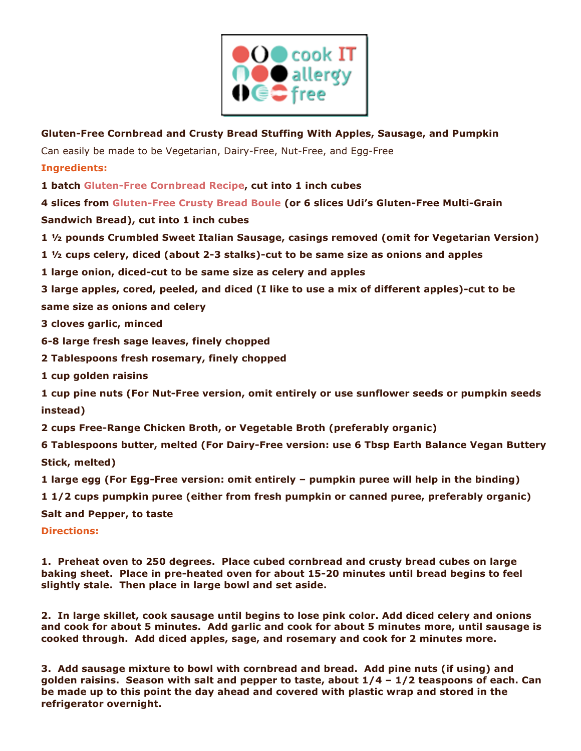

**Gluten-Free Cornbread and Crusty Bread Stuffing With Apples, Sausage, and Pumpkin** Can easily be made to be Vegetarian, Dairy-Free, Nut-Free, and Egg-Free

**Ingredients:**

**1 batch Gluten-Free Cornbread Recipe, cut into 1 inch cubes**

**4 slices from Gluten-Free Crusty Bread Boule (or 6 slices Udi's Gluten-Free Multi-Grain** 

**Sandwich Bread), cut into 1 inch cubes**

**1 ½ pounds Crumbled Sweet Italian Sausage, casings removed (omit for Vegetarian Version)**

**1 ½ cups celery, diced (about 2-3 stalks)-cut to be same size as onions and apples**

**1 large onion, diced-cut to be same size as celery and apples**

**3 large apples, cored, peeled, and diced (I like to use a mix of different apples)-cut to be same size as onions and celery**

**3 cloves garlic, minced**

**6-8 large fresh sage leaves, finely chopped**

**2 Tablespoons fresh rosemary, finely chopped**

**1 cup golden raisins**

**1 cup pine nuts (For Nut-Free version, omit entirely or use sunflower seeds or pumpkin seeds instead)**

**2 cups Free-Range Chicken Broth, or Vegetable Broth (preferably organic)**

**6 Tablespoons butter, melted (For Dairy-Free version: use 6 Tbsp Earth Balance Vegan Buttery Stick, melted)**

**1 large egg (For Egg-Free version: omit entirely – pumpkin puree will help in the binding)**

**1 1/2 cups pumpkin puree (either from fresh pumpkin or canned puree, preferably organic)**

**Salt and Pepper, to taste**

**Directions:**

**1. Preheat oven to 250 degrees. Place cubed cornbread and crusty bread cubes on large baking sheet. Place in pre-heated oven for about 15-20 minutes until bread begins to feel slightly stale. Then place in large bowl and set aside.**

**2. In large skillet, cook sausage until begins to lose pink color. Add diced celery and onions and cook for about 5 minutes. Add garlic and cook for about 5 minutes more, until sausage is cooked through. Add diced apples, sage, and rosemary and cook for 2 minutes more.**

**3. Add sausage mixture to bowl with cornbread and bread. Add pine nuts (if using) and golden raisins. Season with salt and pepper to taste, about 1/4 – 1/2 teaspoons of each. Can be made up to this point the day ahead and covered with plastic wrap and stored in the refrigerator overnight.**